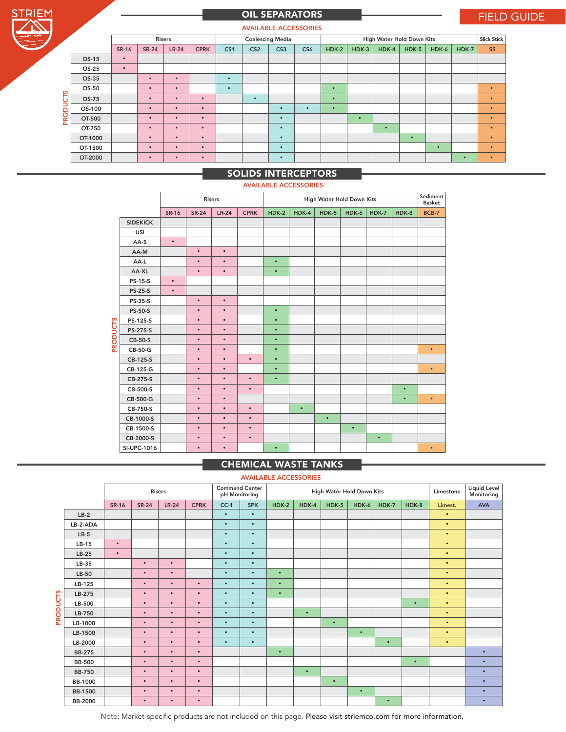| <b>Contract Contract Contract Contract Contract Contract Contract Contract Contract Contract Contract Contract C</b> |
|----------------------------------------------------------------------------------------------------------------------|

# OIL SEPARATORS FIELD GUIDE

AVAILABLE ACCESSORIES

| <b>AVAILADLE AUUESSURIES</b> |           |              |                         |             |                 |                 |                 |                    |           |           |           |           |           |                           |           |
|------------------------------|-----------|--------------|-------------------------|-------------|-----------------|-----------------|-----------------|--------------------|-----------|-----------|-----------|-----------|-----------|---------------------------|-----------|
| <b>Risers</b>                |           |              | <b>Coalescing Media</b> |             |                 |                 |                 | <b>Slick Stick</b> |           |           |           |           |           |                           |           |
|                              | SR-16     | <b>SR-24</b> | $LR-24$                 | <b>CPRK</b> | CS <sub>1</sub> | CS <sub>2</sub> | CS <sub>3</sub> | CS6                | $HDK-2$   | $HDK-3$   | HDK-4     | $HDK-5$   | HDK-6     | HDK-7                     | SS        |
| OS-15                        | $\bullet$ |              |                         |             |                 |                 |                 |                    |           |           |           |           |           |                           |           |
| OS-25                        | $\bullet$ |              |                         |             |                 |                 |                 |                    |           |           |           |           |           |                           |           |
| OS-35                        |           | $\bullet$    | $\bullet$               |             | $\bullet$       |                 |                 |                    |           |           |           |           |           |                           |           |
| OS-50                        |           | $\bullet$    | $\bullet$               |             | $\bullet$       |                 |                 |                    | $\bullet$ |           |           |           |           |                           | $\bullet$ |
| OS-75                        |           | $\bullet$    | $\bullet$               | $\bullet$   |                 | $\bullet$       |                 |                    | $\bullet$ |           |           |           |           |                           | $\bullet$ |
| OS-100                       |           | $\bullet$    | $\bullet$               | $\bullet$   |                 |                 | $\bullet$       | $\bullet$          | $\bullet$ |           |           |           |           |                           | $\bullet$ |
| OT-500                       |           | $\bullet$    | $\bullet$               | $\bullet$   |                 |                 | $\bullet$       |                    |           | $\bullet$ |           |           |           |                           | $\bullet$ |
| OT-750                       |           | $\bullet$    | $\bullet$               | $\bullet$   |                 |                 | $\bullet$       |                    |           |           | $\bullet$ |           |           |                           | $\bullet$ |
| OT-1000                      |           | $\bullet$    | $\bullet$               | $\bullet$   |                 |                 | $\bullet$       |                    |           |           |           | $\bullet$ |           |                           | $\bullet$ |
| OT-1500                      |           | $\bullet$    | $\bullet$               | $\bullet$   |                 |                 | $\bullet$       |                    |           |           |           |           | $\bullet$ |                           | $\bullet$ |
| OT-2000                      |           | $\bullet$    | $\bullet$               | $\bullet$   |                 |                 | $\bullet$       |                    |           |           |           |           |           | $\bullet$                 | $\bullet$ |
|                              |           |              |                         |             |                 |                 |                 |                    |           |           |           |           |           | High Water Hold Down Kits |           |

## SOLIDS INTERCEPTORS

#### AVAILABLE ACCESSORIES

|                 |                 |              | <b>Risers</b> |           |             |           | Sediment<br><b>Basket</b> |           |           |           |           |              |
|-----------------|-----------------|--------------|---------------|-----------|-------------|-----------|---------------------------|-----------|-----------|-----------|-----------|--------------|
|                 |                 | <b>SR-16</b> | <b>SR-24</b>  | $LR-24$   | <b>CPRK</b> | $HDK-2$   | HDK-4                     | $HDK-5$   | HDK-6     | HDK-7     | HDK-8     | <b>BCB-7</b> |
|                 | <b>SIDEKICK</b> |              |               |           |             |           |                           |           |           |           |           |              |
|                 | <b>USI</b>      |              |               |           |             |           |                           |           |           |           |           |              |
|                 | AA-S            | $\bullet$    |               |           |             |           |                           |           |           |           |           |              |
|                 | AA-M            |              | $\bullet$     | $\bullet$ |             |           |                           |           |           |           |           |              |
|                 | AA-L            |              | $\bullet$     | $\bullet$ |             | $\bullet$ |                           |           |           |           |           |              |
|                 | AA-XL           |              | $\bullet$     | $\bullet$ |             | $\bullet$ |                           |           |           |           |           |              |
|                 | PS-15-S         | $\bullet$    |               |           |             |           |                           |           |           |           |           |              |
|                 | <b>PS-25-S</b>  | $\bullet$    |               |           |             |           |                           |           |           |           |           |              |
|                 | <b>PS-35-S</b>  |              | $\bullet$     | $\bullet$ |             |           |                           |           |           |           |           |              |
|                 | <b>PS-50-S</b>  |              | $\bullet$     | $\bullet$ |             | $\bullet$ |                           |           |           |           |           |              |
|                 | PS-125-S        |              | $\bullet$     | $\bullet$ |             | $\bullet$ |                           |           |           |           |           |              |
|                 | PS-275-S        |              | $\bullet$     | $\bullet$ |             | $\bullet$ |                           |           |           |           |           |              |
| <b>PRODUCTS</b> | CB-50-S         |              | $\bullet$     | $\bullet$ |             | $\bullet$ |                           |           |           |           |           |              |
|                 | CB-50-G         |              | $\bullet$     | $\bullet$ |             | $\bullet$ |                           |           |           |           |           | $\bullet$    |
|                 | CB-125-S        |              | $\bullet$     | $\bullet$ | $\bullet$   | $\bullet$ |                           |           |           |           |           |              |
|                 | CB-125-G        |              | $\bullet$     | $\bullet$ |             | $\bullet$ |                           |           |           |           |           | $\bullet$    |
|                 | CB-275-S        |              | $\bullet$     | $\bullet$ | $\bullet$   | $\bullet$ |                           |           |           |           |           |              |
|                 | CB-500-S        |              | $\bullet$     | $\bullet$ | $\bullet$   |           |                           |           |           |           | $\bullet$ |              |
|                 | CB-500-G        |              | $\bullet$     | $\bullet$ |             |           |                           |           |           |           | $\bullet$ | $\bullet$    |
|                 | CB-750-S        |              | $\bullet$     | $\bullet$ | $\bullet$   |           | $\bullet$                 |           |           |           |           |              |
|                 | CB-1000-S       |              | $\bullet$     | $\bullet$ | $\bullet$   |           |                           | $\bullet$ |           |           |           |              |
|                 | CB-1500-S       |              | $\bullet$     | $\bullet$ | $\bullet$   |           |                           |           | $\bullet$ |           |           |              |
|                 | CB-2000-S       |              | $\bullet$     | $\bullet$ | $\bullet$   |           |                           |           |           | $\bullet$ |           |              |
|                 | SI-UPC-1016     |              | $\bullet$     | $\bullet$ |             | $\bullet$ |                           |           |           |           |           | $\bullet$    |

## CHEMICAL WASTE TANKS

### AVAILABLE ACCESSORIES

|                 |                | <b>Risers</b> |              |           |             | <b>Command Center</b><br>pH Monitoring | High Water Hold Down Kits |           |           |           |           |           | Limestone | <b>Liquid Level</b><br>Monitoring |            |
|-----------------|----------------|---------------|--------------|-----------|-------------|----------------------------------------|---------------------------|-----------|-----------|-----------|-----------|-----------|-----------|-----------------------------------|------------|
|                 |                | <b>SR-16</b>  | <b>SR-24</b> | $LR-24$   | <b>CPRK</b> | $CC-1$                                 | <b>SPK</b>                | $HDK-2$   | HDK-4     | $HDK-5$   | HDK-6     | HDK-7     | HDK-8     | Limest.                           | <b>AVA</b> |
|                 | $LB-2$         |               |              |           |             | $\bullet$                              | $\bullet$                 |           |           |           |           |           |           | $\bullet$                         |            |
|                 | LB-2-ADA       |               |              |           |             | $\bullet$                              | $\bullet$                 |           |           |           |           |           |           | $\bullet$                         |            |
|                 | $LB-5$         |               |              |           |             | $\bullet$                              | $\bullet$                 |           |           |           |           |           |           | $\bullet$                         |            |
|                 | $LB-15$        | $\bullet$     |              |           |             | $\bullet$                              | $\bullet$                 |           |           |           |           |           |           | $\bullet$                         |            |
|                 | $LB-25$        | $\bullet$     |              |           |             | $\bullet$                              | $\bullet$                 |           |           |           |           |           |           | $\bullet$                         |            |
|                 | LB-35          |               | $\bullet$    | $\bullet$ |             | $\bullet$                              | $\bullet$                 |           |           |           |           |           |           | $\bullet$                         |            |
|                 | $LB-50$        |               | $\bullet$    | $\bullet$ |             | $\bullet$                              | $\bullet$                 | $\bullet$ |           |           |           |           |           | $\bullet$                         |            |
|                 | LB-125         |               | $\bullet$    | $\bullet$ | $\bullet$   | $\bullet$                              | $\bullet$                 | $\bullet$ |           |           |           |           |           | $\bullet$                         |            |
|                 | LB-275         |               | $\bullet$    | $\bullet$ | $\bullet$   | $\bullet$                              | $\bullet$                 | $\bullet$ |           |           |           |           |           | $\bullet$                         |            |
| <b>PRODUCTS</b> | LB-500         |               | $\bullet$    | $\bullet$ | $\bullet$   | $\bullet$                              | $\bullet$                 |           |           |           |           |           | $\bullet$ | $\bullet$                         |            |
|                 | LB-750         |               | $\bullet$    | $\bullet$ | $\bullet$   | $\bullet$                              | $\bullet$                 |           | $\bullet$ |           |           |           |           | $\bullet$                         |            |
|                 | LB-1000        |               | $\bullet$    | $\bullet$ | $\bullet$   | $\bullet$                              | $\bullet$                 |           |           | $\bullet$ |           |           |           | $\bullet$                         |            |
|                 | LB-1500        |               | $\bullet$    | $\bullet$ | $\bullet$   | $\bullet$                              | $\bullet$                 |           |           |           | $\bullet$ |           |           | $\bullet$                         |            |
|                 | LB-2000        |               | $\bullet$    | $\bullet$ | $\bullet$   | $\bullet$                              | $\bullet$                 |           |           |           |           | $\bullet$ |           | $\bullet$                         |            |
|                 | <b>BB-275</b>  |               | $\bullet$    | $\bullet$ | $\bullet$   |                                        |                           | $\bullet$ |           |           |           |           |           |                                   | $\bullet$  |
|                 | <b>BB-500</b>  |               | $\bullet$    | $\bullet$ | $\bullet$   |                                        |                           |           |           |           |           |           | $\bullet$ |                                   | $\bullet$  |
|                 | <b>BB-750</b>  |               | $\bullet$    | $\bullet$ | $\bullet$   |                                        |                           |           | $\bullet$ |           |           |           |           |                                   | $\bullet$  |
|                 | <b>BB-1000</b> |               | $\bullet$    | $\bullet$ | $\bullet$   |                                        |                           |           |           | $\bullet$ |           |           |           |                                   | $\bullet$  |
|                 | <b>BB-1500</b> |               | $\bullet$    | $\bullet$ | $\bullet$   |                                        |                           |           |           |           | $\bullet$ |           |           |                                   | $\bullet$  |
|                 | <b>BB-2000</b> |               | $\bullet$    | $\bullet$ | $\bullet$   |                                        |                           |           |           |           |           | $\bullet$ |           |                                   | $\bullet$  |

Note: Market-specific products are not included on this page. Please visit striemco.com for more information.